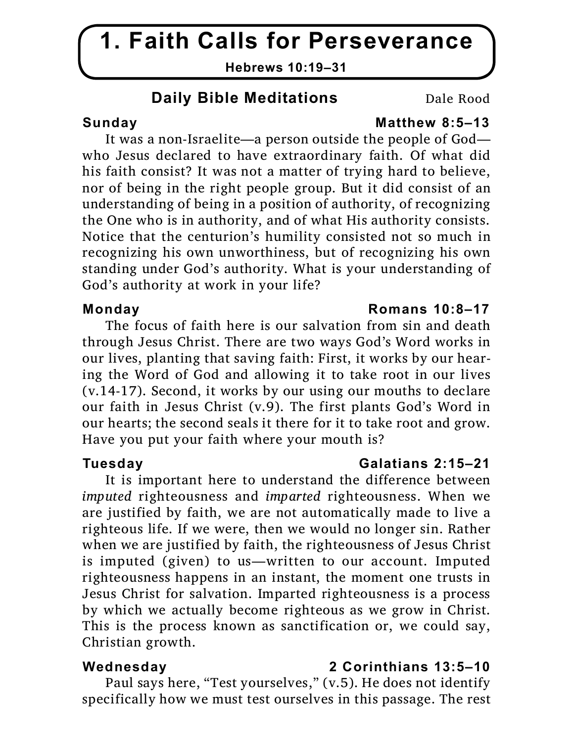# **1. Faith Calls for Perseverance**

**Hebrews 10:19–31**

## **Daily Bible Meditations** Dale Rood

## Sunday **Matthew 8:5–13**

It was a non-Israelite—a person outside the people of God who Jesus declared to have extraordinary faith. Of what did his faith consist? It was not a matter of trying hard to believe, nor of being in the right people group. But it did consist of an understanding of being in a position of authority, of recognizing the One who is in authority, and of what His authority consists. Notice that the centurion's humility consisted not so much in recognizing his own unworthiness, but of recognizing his own standing under God's authority. What is your understanding of God's authority at work in your life?

The focus of faith here is our salvation from sin and death through Jesus Christ. There are two ways God's Word works in our lives, planting that saving faith: First, it works by our hearing the Word of God and allowing it to take root in our lives (v.14-17). Second, it works by our using our mouths to declare our faith in Jesus Christ (v.9). The first plants God's Word in our hearts; the second seals it there for it to take root and grow. Have you put your faith where your mouth is?

It is important here to understand the difference between *imputed* righteousness and *imparted* righteousness. When we are justified by faith, we are not automatically made to live a righteous life. If we were, then we would no longer sin. Rather when we are justified by faith, the righteousness of Jesus Christ is imputed (given) to us—written to our account. Imputed righteousness happens in an instant, the moment one trusts in Jesus Christ for salvation. Imparted righteousness is a process by which we actually become righteous as we grow in Christ. This is the process known as sanctification or, we could say, Christian growth.

## **Wednesday 2 Corinthians 13:5–10**

Paul says here, "Test yourselves," (v.5). He does not identify specifically how we must test ourselves in this passage. The rest

## **Monday Romans 10:8–17**

### **Tuesday Galatians 2:15–21**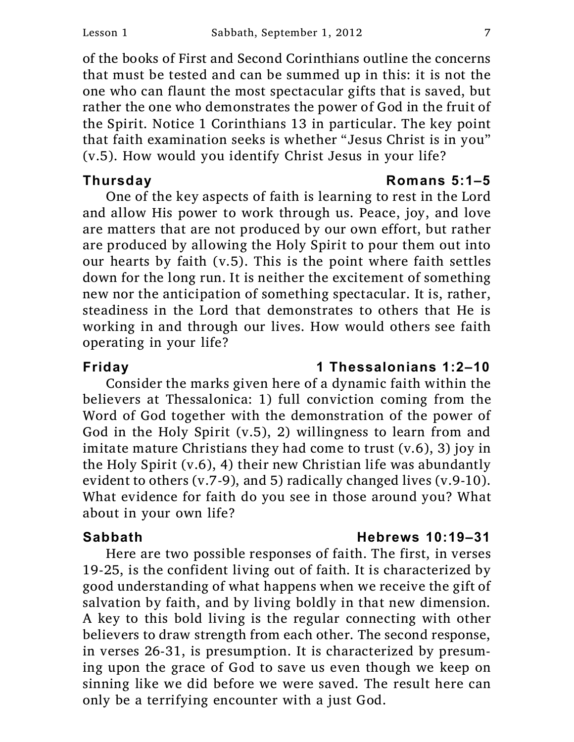of the books of First and Second Corinthians outline the concerns that must be tested and can be summed up in this: it is not the one who can flaunt the most spectacular gifts that is saved, but rather the one who demonstrates the power of God in the fruit of the Spirit. Notice 1 Corinthians 13 in particular. The key point that faith examination seeks is whether "Jesus Christ is in you" (v.5). How would you identify Christ Jesus in your life?

One of the key aspects of faith is learning to rest in the Lord and allow His power to work through us. Peace, joy, and love are matters that are not produced by our own effort, but rather are produced by allowing the Holy Spirit to pour them out into our hearts by faith (v.5). This is the point where faith settles down for the long run. It is neither the excitement of something new nor the anticipation of something spectacular. It is, rather, steadiness in the Lord that demonstrates to others that He is working in and through our lives. How would others see faith operating in your life?

### **Friday 1 Thessalonians 1:2–10**

Consider the marks given here of a dynamic faith within the believers at Thessalonica: 1) full conviction coming from the Word of God together with the demonstration of the power of God in the Holy Spirit (v.5), 2) willingness to learn from and imitate mature Christians they had come to trust (v.6), 3) joy in the Holy Spirit (v.6), 4) their new Christian life was abundantly evident to others (v.7-9), and 5) radically changed lives (v.9-10). What evidence for faith do you see in those around you? What about in your own life?

### **Sabbath Hebrews 10:19–31**

Here are two possible responses of faith. The first, in verses 19-25, is the confident living out of faith. It is characterized by good understanding of what happens when we receive the gift of salvation by faith, and by living boldly in that new dimension. A key to this bold living is the regular connecting with other believers to draw strength from each other. The second response, in verses 26-31, is presumption. It is characterized by presuming upon the grace of God to save us even though we keep on sinning like we did before we were saved. The result here can only be a terrifying encounter with a just God.

### **Thursday Romans 5:1–5**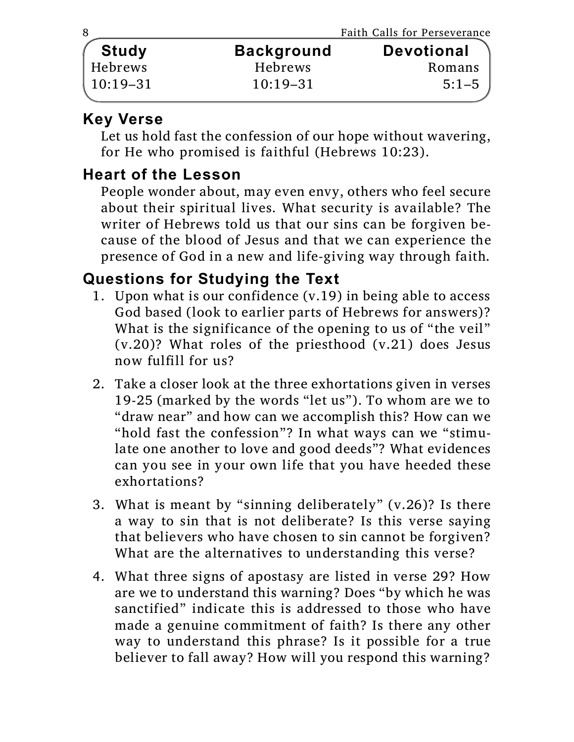|              |                   | Faith Calls for Perseverance |
|--------------|-------------------|------------------------------|
| <b>Study</b> | <b>Background</b> | <b>Devotional</b>            |
| Hebrews      | <b>Hebrews</b>    | Romans                       |
| $10:19-31$   | $10:19 - 31$      | $5:1 - 5$                    |
|              |                   |                              |

## **Key Verse**

Let us hold fast the confession of our hope without wavering, for He who promised is faithful (Hebrews 10:23).

## **Heart of the Lesson**

People wonder about, may even envy, others who feel secure about their spiritual lives. What security is available? The writer of Hebrews told us that our sins can be forgiven because of the blood of Jesus and that we can experience the presence of God in a new and life-giving way through faith.

## **Questions for Studying the Text**

- 1. Upon what is our confidence (v.19) in being able to access God based (look to earlier parts of Hebrews for answers)? What is the significance of the opening to us of "the veil" (v.20)? What roles of the priesthood (v.21) does Jesus now fulfill for us?
- 2. Take a closer look at the three exhortations given in verses 19-25 (marked by the words "let us"). To whom are we to "draw near" and how can we accomplish this? How can we "hold fast the confession"? In what ways can we "stimulate one another to love and good deeds"? What evidences can you see in your own life that you have heeded these exhortations?
- 3. What is meant by "sinning deliberately" (v.26)? Is there a way to sin that is not deliberate? Is this verse saying that believers who have chosen to sin cannot be forgiven? What are the alternatives to understanding this verse?
- 4. What three signs of apostasy are listed in verse 29? How are we to understand this warning? Does "by which he was sanctified" indicate this is addressed to those who have made a genuine commitment of faith? Is there any other way to understand this phrase? Is it possible for a true believer to fall away? How will you respond this warning?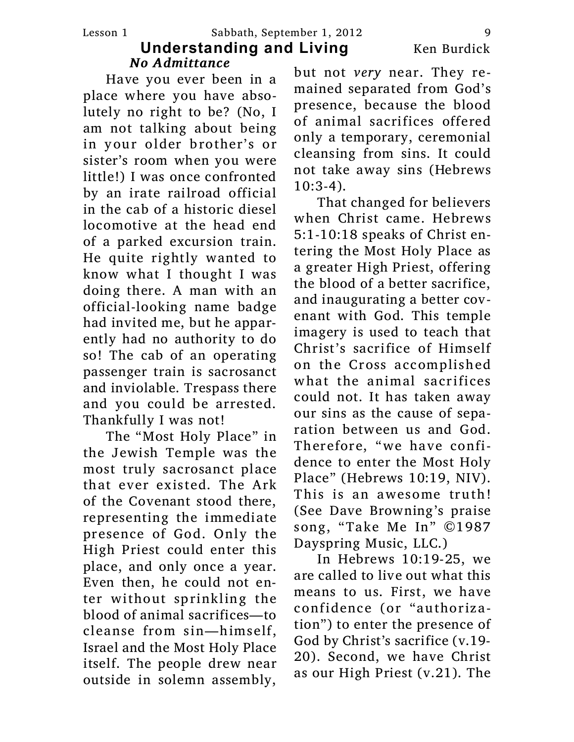Have you ever been in a place where you have absolutely no right to be? (No, I am not talking about being in your older brother's or sister's room when you were little!) I was once confronted by an irate railroad official in the cab of a historic diesel locomotive at the head end of a parked excursion train. He quite rightly wanted to know what I thought I was doing there. A man with an official-looking name badge had invited me, but he apparently had no authority to do so! The cab of an operating passenger train is sacrosanct and inviolable. Trespass there and you could be arrested. Thankfully I was not!

The "Most Holy Place" in the Jewish Temple was the most truly sacrosanct place that ever existed. The Ark of the Covenant stood there, representing the immediate presence of God. Only the High Priest could enter this place, and only once a year. Even then, he could not enter without sprinkling the blood of animal sacrifices—to cleanse from sin—himself, Israel and the Most Holy Place itself. The people drew near outside in solemn assembly,

but not *very* near. They remained separated from God's presence, because the blood of animal sacrifices offered only a temporary, ceremonial cleansing from sins. It could not take away sins (Hebrews  $10:3-4$ ).

That changed for believers when Christ came. Hebrews 5:1-10:18 speaks of Christ entering the Most Holy Place as a greater High Priest, offering the blood of a better sacrifice, and inaugurating a better covenant with God. This temple imagery is used to teach that Christ's sacrifice of Himself on the Cross accomplished what the animal sacrifices could not. It has taken away our sins as the cause of separation between us and God. Therefore, "we have confidence to enter the Most Holy Place" (Hebrews 10:19, NIV). This is an awesome truth! (See Dave Browning's praise song, "Take Me In" ©1987 Dayspring Music, LLC.)

In Hebrews 10:19-25, we are called to live out what this means to us. First, we have confidence (or "authorization") to enter the presence of God by Christ's sacrifice (v.19- 20). Second, we have Christ as our High Priest (v.21). The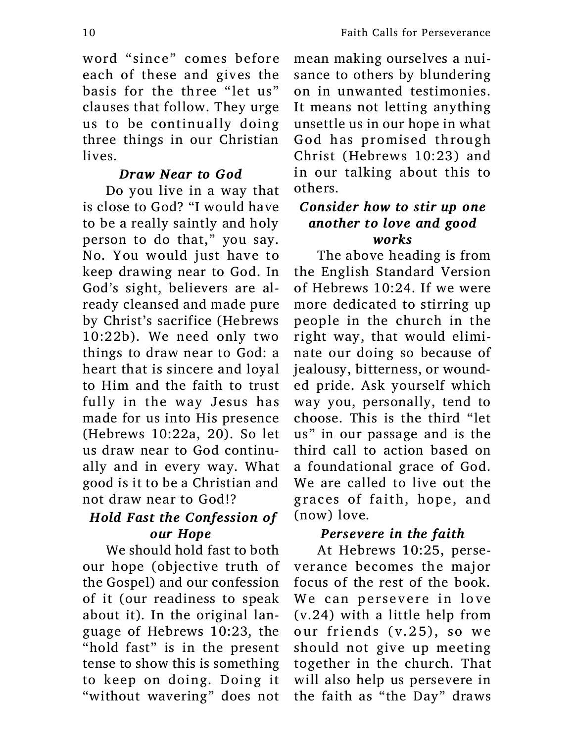word "since" comes before each of these and gives the basis for the three "let us" clauses that follow. They urge us to be continually doing three things in our Christian lives.

### *Draw Near to God*

Do you live in a way that is close to God? "I would have to be a really saintly and holy person to do that," you say. No. You would just have to keep drawing near to God. In God's sight, believers are already cleansed and made pure by Christ's sacrifice (Hebrews 10:22b). We need only two things to draw near to God: a heart that is sincere and loyal to Him and the faith to trust fully in the way Jesus has made for us into His presence (Hebrews 10:22a, 20). So let us draw near to God continually and in every way. What good is it to be a Christian and not draw near to God!?

### *Hold Fast the Confession of our Hope*

We should hold fast to both our hope (objective truth of the Gospel) and our confession of it (our readiness to speak about it). In the original language of Hebrews 10:23, the "hold fast" is in the present tense to show this is something to keep on doing. Doing it "without wavering" does not mean making ourselves a nuisance to others by blundering on in unwanted testimonies. It means not letting anything unsettle us in our hope in what God has promised through Christ (Hebrews 10:23) and in our talking about this to others.

### *Consider how to stir up one another to love and good works*

The above heading is from the English Standard Version of Hebrews 10:24. If we were more dedicated to stirring up people in the church in the right way, that would eliminate our doing so because of jealousy, bitterness, or wounded pride. Ask yourself which way you, personally, tend to choose. This is the third "let us" in our passage and is the third call to action based on a foundational grace of God. We are called to live out the graces of faith, hope, and (now) love.

### *Persevere in the faith*

At Hebrews 10:25, perseverance becomes the major focus of the rest of the book. We can persevere in love (v.24) with a little help from our friends (v.25), so we should not give up meeting together in the church. That will also help us persevere in the faith as "the Day" draws